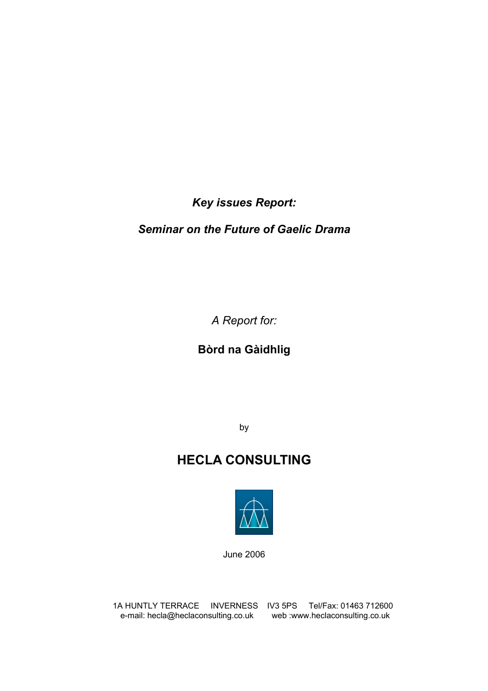*Key issues Report:* 

## *Seminar on the Future of Gaelic Drama*

*A Report for:* 

**Bòrd na Gàidhlig** 

by

# **HECLA CONSULTING**



June 2006

1A HUNTLY TERRACE INVERNESS IV3 5PS Tel/Fax: 01463 712600 e-mail: hecla@heclaconsulting.co.uk web :www.heclaconsulting.co.uk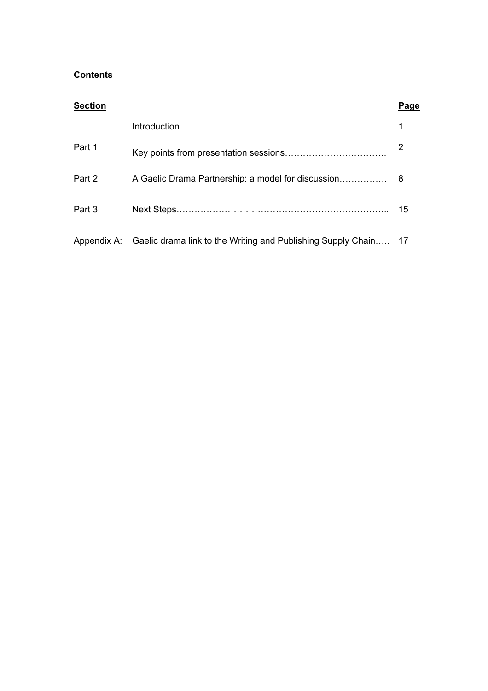## **Contents**

| <b>Section</b> |                                                                             | Page |
|----------------|-----------------------------------------------------------------------------|------|
|                |                                                                             |      |
| Part 1.        |                                                                             |      |
| Part 2.        |                                                                             |      |
| Part 3.        |                                                                             | 15   |
|                | Appendix A: Gaelic drama link to the Writing and Publishing Supply Chain 17 |      |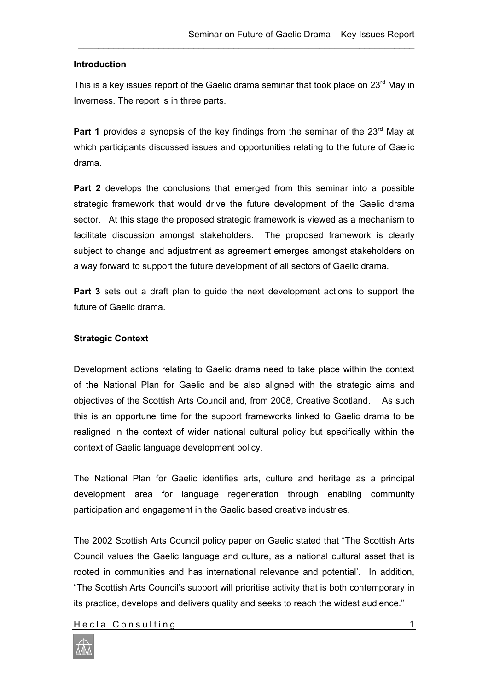## **Introduction**

This is a key issues report of the Gaelic drama seminar that took place on  $23<sup>rd</sup>$  May in Inverness. The report is in three parts.

\_\_\_\_\_\_\_\_\_\_\_\_\_\_\_\_\_\_\_\_\_\_\_\_\_\_\_\_\_\_\_\_\_\_\_\_\_\_\_\_\_\_\_\_\_\_\_\_\_\_\_\_\_\_\_\_\_\_\_\_\_\_\_\_\_\_\_

**Part 1** provides a synopsis of the key findings from the seminar of the 23<sup>rd</sup> May at which participants discussed issues and opportunities relating to the future of Gaelic drama.

**Part 2** develops the conclusions that emerged from this seminar into a possible strategic framework that would drive the future development of the Gaelic drama sector. At this stage the proposed strategic framework is viewed as a mechanism to facilitate discussion amongst stakeholders. The proposed framework is clearly subject to change and adjustment as agreement emerges amongst stakeholders on a way forward to support the future development of all sectors of Gaelic drama.

**Part 3** sets out a draft plan to guide the next development actions to support the future of Gaelic drama.

## **Strategic Context**

Development actions relating to Gaelic drama need to take place within the context of the National Plan for Gaelic and be also aligned with the strategic aims and objectives of the Scottish Arts Council and, from 2008, Creative Scotland. As such this is an opportune time for the support frameworks linked to Gaelic drama to be realigned in the context of wider national cultural policy but specifically within the context of Gaelic language development policy.

The National Plan for Gaelic identifies arts, culture and heritage as a principal development area for language regeneration through enabling community participation and engagement in the Gaelic based creative industries.

The 2002 Scottish Arts Council policy paper on Gaelic stated that "The Scottish Arts Council values the Gaelic language and culture, as a national cultural asset that is rooted in communities and has international relevance and potential'. In addition, "The Scottish Arts Council's support will prioritise activity that is both contemporary in its practice, develops and delivers quality and seeks to reach the widest audience."

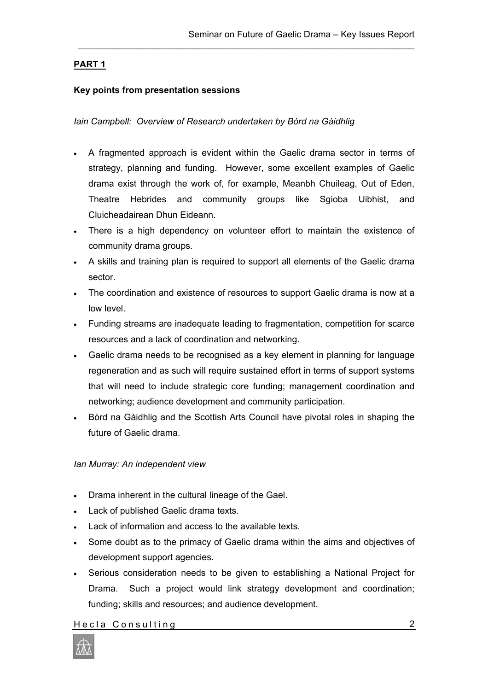## **PART 1**

## **Key points from presentation sessions**

*Iain Campbell: Overview of Research undertaken by Bòrd na Gàidhlig*

• A fragmented approach is evident within the Gaelic drama sector in terms of strategy, planning and funding. However, some excellent examples of Gaelic drama exist through the work of, for example, Meanbh Chuileag, Out of Eden, Theatre Hebrides and community groups like Sgioba Uibhist, and Cluicheadairean Dhun Eideann.

\_\_\_\_\_\_\_\_\_\_\_\_\_\_\_\_\_\_\_\_\_\_\_\_\_\_\_\_\_\_\_\_\_\_\_\_\_\_\_\_\_\_\_\_\_\_\_\_\_\_\_\_\_\_\_\_\_\_\_\_\_\_\_\_\_\_\_

- There is a high dependency on volunteer effort to maintain the existence of community drama groups.
- A skills and training plan is required to support all elements of the Gaelic drama sector.
- The coordination and existence of resources to support Gaelic drama is now at a low level.
- Funding streams are inadequate leading to fragmentation, competition for scarce resources and a lack of coordination and networking.
- Gaelic drama needs to be recognised as a key element in planning for language regeneration and as such will require sustained effort in terms of support systems that will need to include strategic core funding; management coordination and networking; audience development and community participation.
- Bòrd na Gàidhlig and the Scottish Arts Council have pivotal roles in shaping the future of Gaelic drama.

#### *Ian Murray: An independent view*

- Drama inherent in the cultural lineage of the Gael.
- Lack of published Gaelic drama texts.
- Lack of information and access to the available texts.
- Some doubt as to the primacy of Gaelic drama within the aims and objectives of development support agencies.
- Serious consideration needs to be given to establishing a National Project for Drama. Such a project would link strategy development and coordination; funding; skills and resources; and audience development.

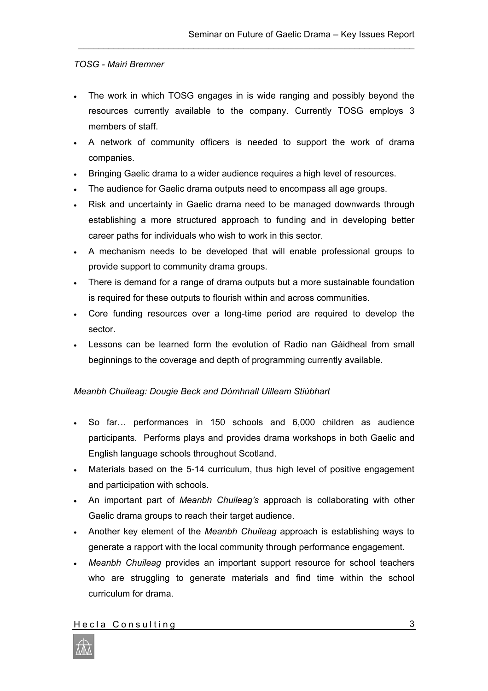## *TOSG - Mairi Bremner*

• The work in which TOSG engages in is wide ranging and possibly beyond the resources currently available to the company. Currently TOSG employs 3 members of staff.

\_\_\_\_\_\_\_\_\_\_\_\_\_\_\_\_\_\_\_\_\_\_\_\_\_\_\_\_\_\_\_\_\_\_\_\_\_\_\_\_\_\_\_\_\_\_\_\_\_\_\_\_\_\_\_\_\_\_\_\_\_\_\_\_\_\_\_

- A network of community officers is needed to support the work of drama companies.
- Bringing Gaelic drama to a wider audience requires a high level of resources.
- The audience for Gaelic drama outputs need to encompass all age groups.
- Risk and uncertainty in Gaelic drama need to be managed downwards through establishing a more structured approach to funding and in developing better career paths for individuals who wish to work in this sector.
- A mechanism needs to be developed that will enable professional groups to provide support to community drama groups.
- There is demand for a range of drama outputs but a more sustainable foundation is required for these outputs to flourish within and across communities.
- Core funding resources over a long-time period are required to develop the sector.
- Lessons can be learned form the evolution of Radio nan Gàidheal from small beginnings to the coverage and depth of programming currently available.

## *Meanbh Chuileag: Dougie Beck and Dòmhnall Uilleam Stiùbhart*

- So far… performances in 150 schools and 6,000 children as audience participants. Performs plays and provides drama workshops in both Gaelic and English language schools throughout Scotland.
- Materials based on the 5-14 curriculum, thus high level of positive engagement and participation with schools.
- An important part of *Meanbh Chuileag's* approach is collaborating with other Gaelic drama groups to reach their target audience.
- Another key element of the *Meanbh Chuileag* approach is establishing ways to generate a rapport with the local community through performance engagement.
- *Meanbh Chuileag* provides an important support resource for school teachers who are struggling to generate materials and find time within the school curriculum for drama.

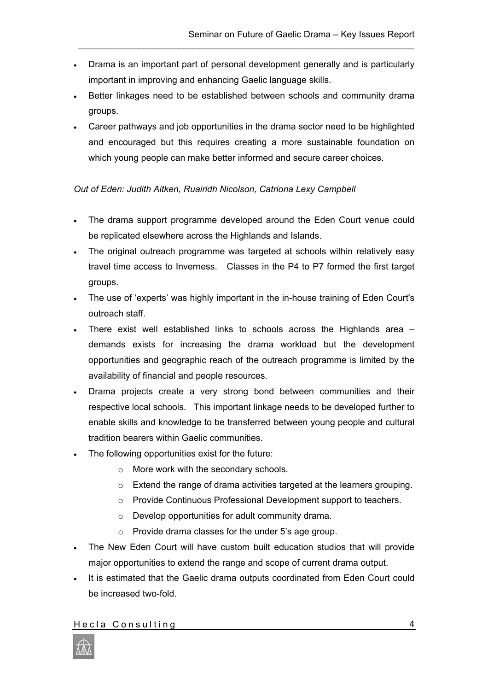• Drama is an important part of personal development generally and is particularly important in improving and enhancing Gaelic language skills.

\_\_\_\_\_\_\_\_\_\_\_\_\_\_\_\_\_\_\_\_\_\_\_\_\_\_\_\_\_\_\_\_\_\_\_\_\_\_\_\_\_\_\_\_\_\_\_\_\_\_\_\_\_\_\_\_\_\_\_\_\_\_\_\_\_\_\_

- Better linkages need to be established between schools and community drama groups.
- Career pathways and job opportunities in the drama sector need to be highlighted and encouraged but this requires creating a more sustainable foundation on which young people can make better informed and secure career choices.

## *Out of Eden: Judith Aitken, Ruairidh Nicolson, Catriona Lexy Campbell*

- The drama support programme developed around the Eden Court venue could be replicated elsewhere across the Highlands and Islands.
- The original outreach programme was targeted at schools within relatively easy travel time access to Inverness. Classes in the P4 to P7 formed the first target groups.
- The use of 'experts' was highly important in the in-house training of Eden Court's outreach staff.
- There exist well established links to schools across the Highlands area demands exists for increasing the drama workload but the development opportunities and geographic reach of the outreach programme is limited by the availability of financial and people resources.
- Drama projects create a very strong bond between communities and their respective local schools. This important linkage needs to be developed further to enable skills and knowledge to be transferred between young people and cultural tradition bearers within Gaelic communities.
- The following opportunities exist for the future:
	- o More work with the secondary schools.
	- o Extend the range of drama activities targeted at the learners grouping.
	- o Provide Continuous Professional Development support to teachers.
	- o Develop opportunities for adult community drama.
	- o Provide drama classes for the under 5's age group.
- The New Eden Court will have custom built education studios that will provide major opportunities to extend the range and scope of current drama output.
- It is estimated that the Gaelic drama outputs coordinated from Eden Court could be increased two-fold.

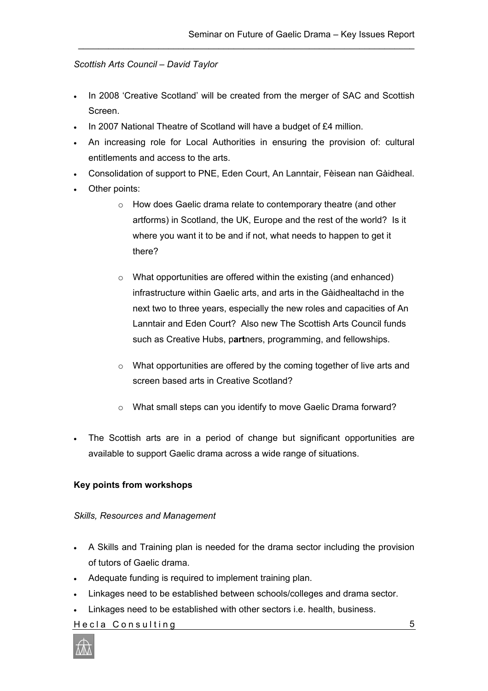## *Scottish Arts Council – David Taylor*

• In 2008 'Creative Scotland' will be created from the merger of SAC and Scottish Screen.

\_\_\_\_\_\_\_\_\_\_\_\_\_\_\_\_\_\_\_\_\_\_\_\_\_\_\_\_\_\_\_\_\_\_\_\_\_\_\_\_\_\_\_\_\_\_\_\_\_\_\_\_\_\_\_\_\_\_\_\_\_\_\_\_\_\_\_

- In 2007 National Theatre of Scotland will have a budget of £4 million.
- An increasing role for Local Authorities in ensuring the provision of: cultural entitlements and access to the arts.
- Consolidation of support to PNE, Eden Court, An Lanntair, Fèisean nan Gàidheal.
- Other points:
	- o How does Gaelic drama relate to contemporary theatre (and other artforms) in Scotland, the UK, Europe and the rest of the world? Is it where you want it to be and if not, what needs to happen to get it there?
	- $\circ$  What opportunities are offered within the existing (and enhanced) infrastructure within Gaelic arts, and arts in the Gàidhealtachd in the next two to three years, especially the new roles and capacities of An Lanntair and Eden Court? Also new The Scottish Arts Council funds such as Creative Hubs, p**art**ners, programming, and fellowships.
	- o What opportunities are offered by the coming together of live arts and screen based arts in Creative Scotland?
	- o What small steps can you identify to move Gaelic Drama forward?
- The Scottish arts are in a period of change but significant opportunities are available to support Gaelic drama across a wide range of situations.

## **Key points from workshops**

#### *Skills, Resources and Management*

- A Skills and Training plan is needed for the drama sector including the provision of tutors of Gaelic drama.
- Adequate funding is required to implement training plan.
- Linkages need to be established between schools/colleges and drama sector.
- Linkages need to be established with other sectors i.e. health, business.

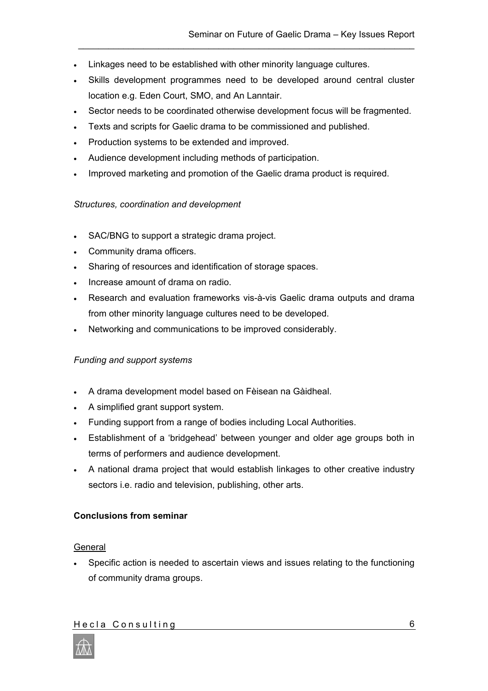- Linkages need to be established with other minority language cultures.
- Skills development programmes need to be developed around central cluster location e.g. Eden Court, SMO, and An Lanntair.

\_\_\_\_\_\_\_\_\_\_\_\_\_\_\_\_\_\_\_\_\_\_\_\_\_\_\_\_\_\_\_\_\_\_\_\_\_\_\_\_\_\_\_\_\_\_\_\_\_\_\_\_\_\_\_\_\_\_\_\_\_\_\_\_\_\_\_

- Sector needs to be coordinated otherwise development focus will be fragmented.
- Texts and scripts for Gaelic drama to be commissioned and published.
- Production systems to be extended and improved.
- Audience development including methods of participation.
- Improved marketing and promotion of the Gaelic drama product is required.

#### *Structures, coordination and development*

- SAC/BNG to support a strategic drama project.
- Community drama officers.
- Sharing of resources and identification of storage spaces.
- Increase amount of drama on radio.
- Research and evaluation frameworks vis-à-vis Gaelic drama outputs and drama from other minority language cultures need to be developed.
- Networking and communications to be improved considerably.

#### *Funding and support systems*

- A drama development model based on Fèisean na Gàidheal.
- A simplified grant support system.
- Funding support from a range of bodies including Local Authorities.
- Establishment of a 'bridgehead' between younger and older age groups both in terms of performers and audience development.
- A national drama project that would establish linkages to other creative industry sectors i.e. radio and television, publishing, other arts.

#### **Conclusions from seminar**

#### **General**

• Specific action is needed to ascertain views and issues relating to the functioning of community drama groups.

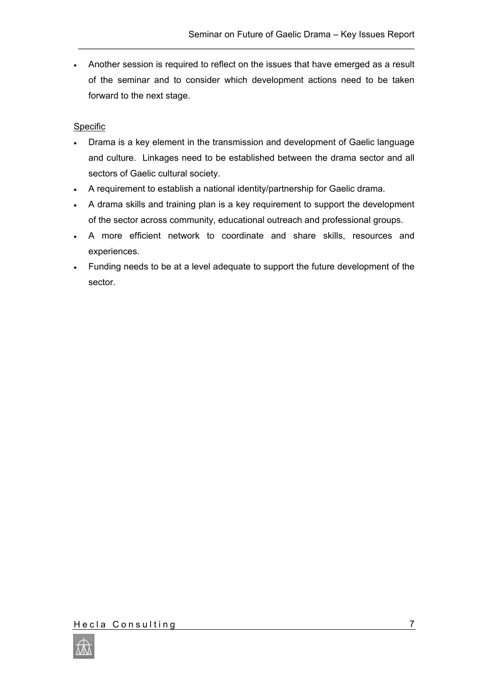• Another session is required to reflect on the issues that have emerged as a result of the seminar and to consider which development actions need to be taken forward to the next stage.

\_\_\_\_\_\_\_\_\_\_\_\_\_\_\_\_\_\_\_\_\_\_\_\_\_\_\_\_\_\_\_\_\_\_\_\_\_\_\_\_\_\_\_\_\_\_\_\_\_\_\_\_\_\_\_\_\_\_\_\_\_\_\_\_\_\_\_

## **Specific**

- Drama is a key element in the transmission and development of Gaelic language and culture. Linkages need to be established between the drama sector and all sectors of Gaelic cultural society.
- A requirement to establish a national identity/partnership for Gaelic drama.
- A drama skills and training plan is a key requirement to support the development of the sector across community, educational outreach and professional groups.
- A more efficient network to coordinate and share skills, resources and experiences.
- Funding needs to be at a level adequate to support the future development of the sector.

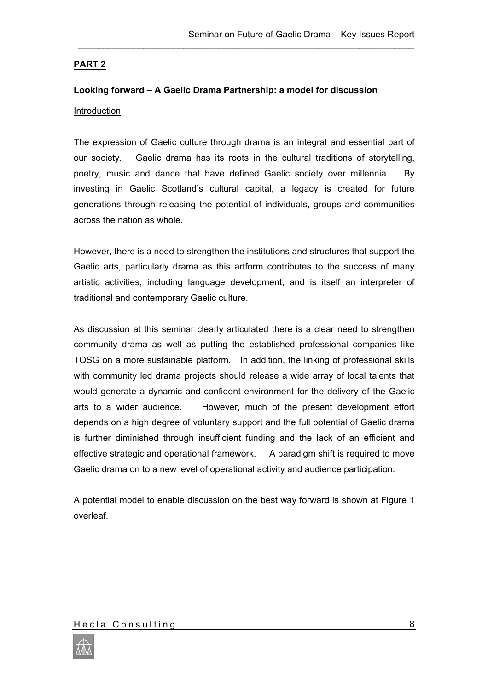## **PART 2**

## **Looking forward – A Gaelic Drama Partnership: a model for discussion Introduction**

The expression of Gaelic culture through drama is an integral and essential part of our society. Gaelic drama has its roots in the cultural traditions of storytelling, poetry, music and dance that have defined Gaelic society over millennia. By investing in Gaelic Scotland's cultural capital, a legacy is created for future generations through releasing the potential of individuals, groups and communities across the nation as whole.

\_\_\_\_\_\_\_\_\_\_\_\_\_\_\_\_\_\_\_\_\_\_\_\_\_\_\_\_\_\_\_\_\_\_\_\_\_\_\_\_\_\_\_\_\_\_\_\_\_\_\_\_\_\_\_\_\_\_\_\_\_\_\_\_\_\_\_

However, there is a need to strengthen the institutions and structures that support the Gaelic arts, particularly drama as this artform contributes to the success of many artistic activities, including language development, and is itself an interpreter of traditional and contemporary Gaelic culture.

As discussion at this seminar clearly articulated there is a clear need to strengthen community drama as well as putting the established professional companies like TOSG on a more sustainable platform. In addition, the linking of professional skills with community led drama projects should release a wide array of local talents that would generate a dynamic and confident environment for the delivery of the Gaelic arts to a wider audience. However, much of the present development effort depends on a high degree of voluntary support and the full potential of Gaelic drama is further diminished through insufficient funding and the lack of an efficient and effective strategic and operational framework. A paradigm shift is required to move Gaelic drama on to a new level of operational activity and audience participation.

A potential model to enable discussion on the best way forward is shown at Figure 1 overleaf.

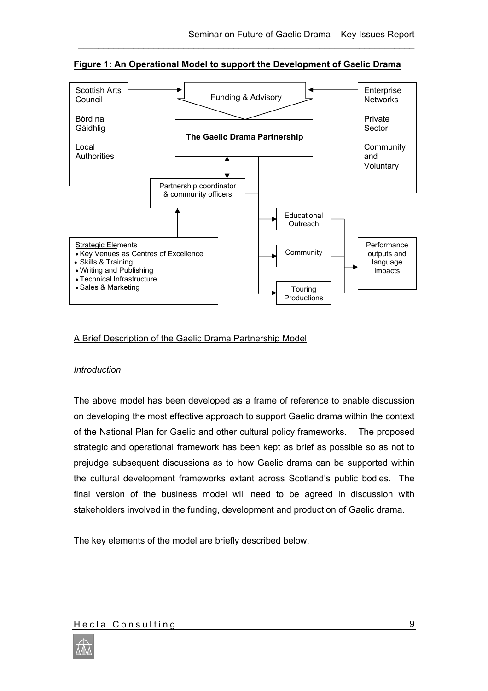

**Figure 1: An Operational Model to support the Development of Gaelic Drama**

\_\_\_\_\_\_\_\_\_\_\_\_\_\_\_\_\_\_\_\_\_\_\_\_\_\_\_\_\_\_\_\_\_\_\_\_\_\_\_\_\_\_\_\_\_\_\_\_\_\_\_\_\_\_\_\_\_\_\_\_\_\_\_\_\_\_\_

## A Brief Description of the Gaelic Drama Partnership Model

#### *Introduction*

The above model has been developed as a frame of reference to enable discussion on developing the most effective approach to support Gaelic drama within the context of the National Plan for Gaelic and other cultural policy frameworks. The proposed strategic and operational framework has been kept as brief as possible so as not to prejudge subsequent discussions as to how Gaelic drama can be supported within the cultural development frameworks extant across Scotland's public bodies. The final version of the business model will need to be agreed in discussion with stakeholders involved in the funding, development and production of Gaelic drama.

The key elements of the model are briefly described below.

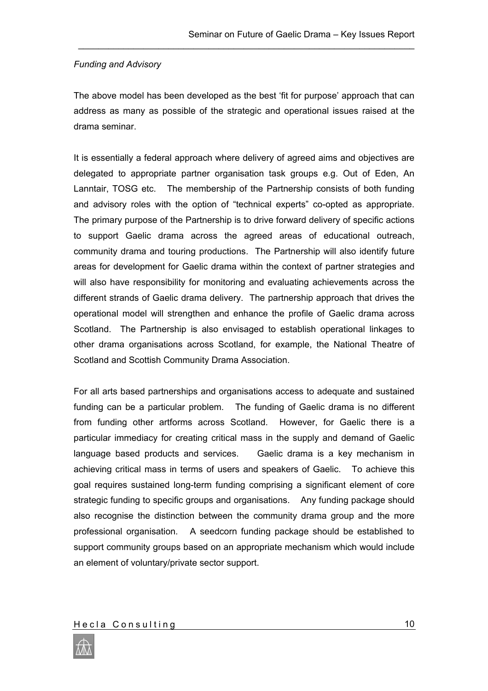## *Funding and Advisory*

The above model has been developed as the best 'fit for purpose' approach that can address as many as possible of the strategic and operational issues raised at the drama seminar.

\_\_\_\_\_\_\_\_\_\_\_\_\_\_\_\_\_\_\_\_\_\_\_\_\_\_\_\_\_\_\_\_\_\_\_\_\_\_\_\_\_\_\_\_\_\_\_\_\_\_\_\_\_\_\_\_\_\_\_\_\_\_\_\_\_\_\_

It is essentially a federal approach where delivery of agreed aims and objectives are delegated to appropriate partner organisation task groups e.g. Out of Eden, An Lanntair, TOSG etc. The membership of the Partnership consists of both funding and advisory roles with the option of "technical experts" co-opted as appropriate. The primary purpose of the Partnership is to drive forward delivery of specific actions to support Gaelic drama across the agreed areas of educational outreach, community drama and touring productions. The Partnership will also identify future areas for development for Gaelic drama within the context of partner strategies and will also have responsibility for monitoring and evaluating achievements across the different strands of Gaelic drama delivery. The partnership approach that drives the operational model will strengthen and enhance the profile of Gaelic drama across Scotland. The Partnership is also envisaged to establish operational linkages to other drama organisations across Scotland, for example, the National Theatre of Scotland and Scottish Community Drama Association.

For all arts based partnerships and organisations access to adequate and sustained funding can be a particular problem. The funding of Gaelic drama is no different from funding other artforms across Scotland. However, for Gaelic there is a particular immediacy for creating critical mass in the supply and demand of Gaelic language based products and services. Gaelic drama is a key mechanism in achieving critical mass in terms of users and speakers of Gaelic. To achieve this goal requires sustained long-term funding comprising a significant element of core strategic funding to specific groups and organisations. Any funding package should also recognise the distinction between the community drama group and the more professional organisation. A seedcorn funding package should be established to support community groups based on an appropriate mechanism which would include an element of voluntary/private sector support.

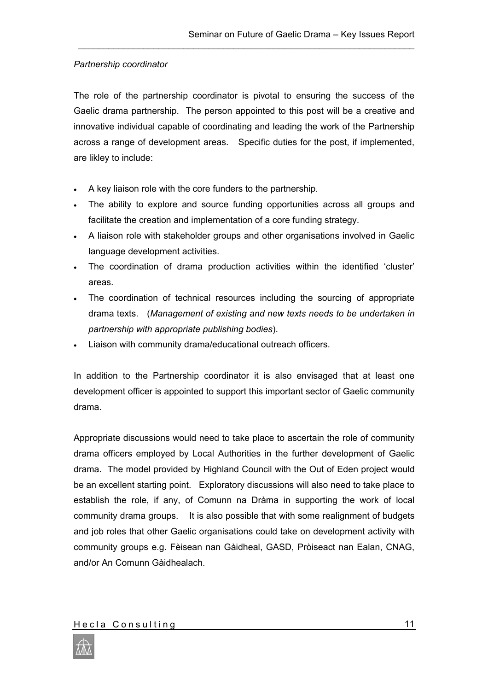## *Partnership coordinator*

The role of the partnership coordinator is pivotal to ensuring the success of the Gaelic drama partnership. The person appointed to this post will be a creative and innovative individual capable of coordinating and leading the work of the Partnership across a range of development areas. Specific duties for the post, if implemented, are likley to include:

\_\_\_\_\_\_\_\_\_\_\_\_\_\_\_\_\_\_\_\_\_\_\_\_\_\_\_\_\_\_\_\_\_\_\_\_\_\_\_\_\_\_\_\_\_\_\_\_\_\_\_\_\_\_\_\_\_\_\_\_\_\_\_\_\_\_\_

- A key liaison role with the core funders to the partnership.
- The ability to explore and source funding opportunities across all groups and facilitate the creation and implementation of a core funding strategy.
- A liaison role with stakeholder groups and other organisations involved in Gaelic language development activities.
- The coordination of drama production activities within the identified 'cluster' areas.
- The coordination of technical resources including the sourcing of appropriate drama texts. (*Management of existing and new texts needs to be undertaken in partnership with appropriate publishing bodies*).
- Liaison with community drama/educational outreach officers.

In addition to the Partnership coordinator it is also envisaged that at least one development officer is appointed to support this important sector of Gaelic community drama.

Appropriate discussions would need to take place to ascertain the role of community drama officers employed by Local Authorities in the further development of Gaelic drama. The model provided by Highland Council with the Out of Eden project would be an excellent starting point. Exploratory discussions will also need to take place to establish the role, if any, of Comunn na Dràma in supporting the work of local community drama groups. It is also possible that with some realignment of budgets and job roles that other Gaelic organisations could take on development activity with community groups e.g. Fèisean nan Gàidheal, GASD, Pròiseact nan Ealan, CNAG, and/or An Comunn Gàidhealach.

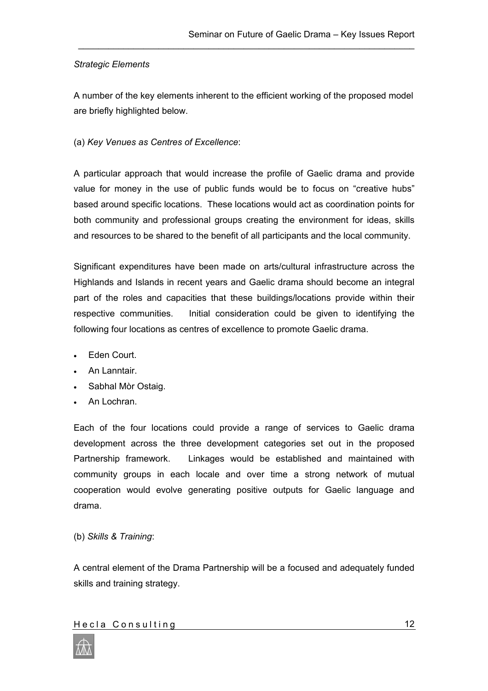#### *Strategic Elements*

A number of the key elements inherent to the efficient working of the proposed model are briefly highlighted below.

\_\_\_\_\_\_\_\_\_\_\_\_\_\_\_\_\_\_\_\_\_\_\_\_\_\_\_\_\_\_\_\_\_\_\_\_\_\_\_\_\_\_\_\_\_\_\_\_\_\_\_\_\_\_\_\_\_\_\_\_\_\_\_\_\_\_\_

## (a) *Key Venues as Centres of Excellence*:

A particular approach that would increase the profile of Gaelic drama and provide value for money in the use of public funds would be to focus on "creative hubs" based around specific locations. These locations would act as coordination points for both community and professional groups creating the environment for ideas, skills and resources to be shared to the benefit of all participants and the local community.

Significant expenditures have been made on arts/cultural infrastructure across the Highlands and Islands in recent years and Gaelic drama should become an integral part of the roles and capacities that these buildings/locations provide within their respective communities. Initial consideration could be given to identifying the following four locations as centres of excellence to promote Gaelic drama.

- Eden Court.
- An Lanntair.
- Sabhal Mòr Ostaig.
- An Lochran.

Each of the four locations could provide a range of services to Gaelic drama development across the three development categories set out in the proposed Partnership framework. Linkages would be established and maintained with community groups in each locale and over time a strong network of mutual cooperation would evolve generating positive outputs for Gaelic language and drama.

(b) *Skills & Training*:

A central element of the Drama Partnership will be a focused and adequately funded skills and training strategy.

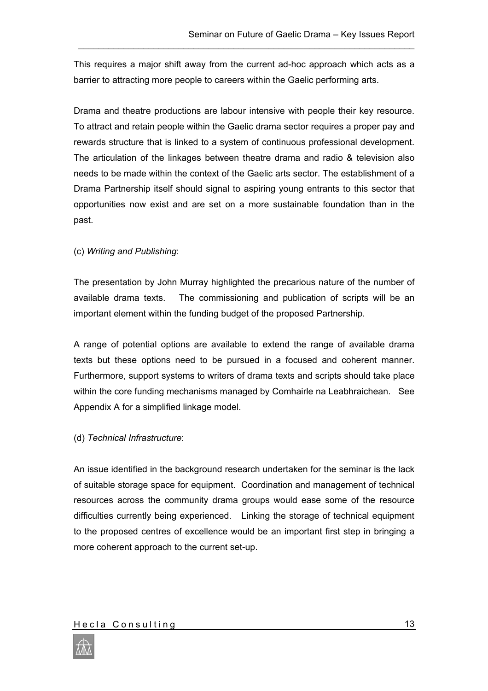This requires a major shift away from the current ad-hoc approach which acts as a barrier to attracting more people to careers within the Gaelic performing arts.

\_\_\_\_\_\_\_\_\_\_\_\_\_\_\_\_\_\_\_\_\_\_\_\_\_\_\_\_\_\_\_\_\_\_\_\_\_\_\_\_\_\_\_\_\_\_\_\_\_\_\_\_\_\_\_\_\_\_\_\_\_\_\_\_\_\_\_

Drama and theatre productions are labour intensive with people their key resource. To attract and retain people within the Gaelic drama sector requires a proper pay and rewards structure that is linked to a system of continuous professional development. The articulation of the linkages between theatre drama and radio & television also needs to be made within the context of the Gaelic arts sector. The establishment of a Drama Partnership itself should signal to aspiring young entrants to this sector that opportunities now exist and are set on a more sustainable foundation than in the past.

## (c) *Writing and Publishing*:

The presentation by John Murray highlighted the precarious nature of the number of available drama texts. The commissioning and publication of scripts will be an important element within the funding budget of the proposed Partnership.

A range of potential options are available to extend the range of available drama texts but these options need to be pursued in a focused and coherent manner. Furthermore, support systems to writers of drama texts and scripts should take place within the core funding mechanisms managed by Comhairle na Leabhraichean. See Appendix A for a simplified linkage model.

## (d) *Technical Infrastructure*:

An issue identified in the background research undertaken for the seminar is the lack of suitable storage space for equipment. Coordination and management of technical resources across the community drama groups would ease some of the resource difficulties currently being experienced. Linking the storage of technical equipment to the proposed centres of excellence would be an important first step in bringing a more coherent approach to the current set-up.

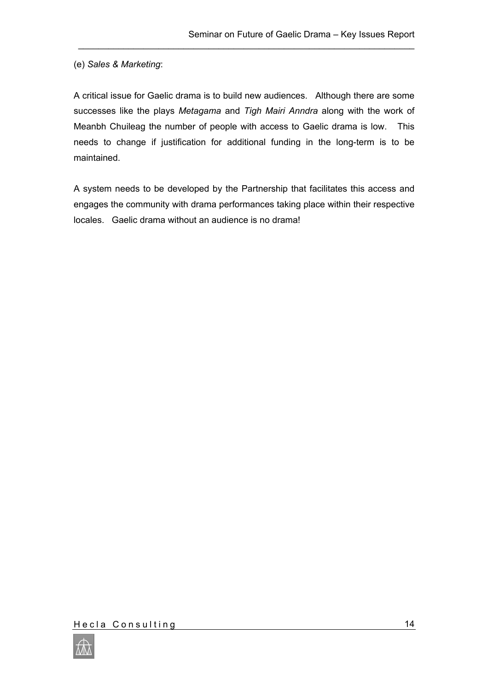## (e) *Sales & Marketing*:

A critical issue for Gaelic drama is to build new audiences. Although there are some successes like the plays *Metagama* and *Tigh Mairi Anndra* along with the work of Meanbh Chuileag the number of people with access to Gaelic drama is low. This needs to change if justification for additional funding in the long-term is to be maintained.

\_\_\_\_\_\_\_\_\_\_\_\_\_\_\_\_\_\_\_\_\_\_\_\_\_\_\_\_\_\_\_\_\_\_\_\_\_\_\_\_\_\_\_\_\_\_\_\_\_\_\_\_\_\_\_\_\_\_\_\_\_\_\_\_\_\_\_

A system needs to be developed by the Partnership that facilitates this access and engages the community with drama performances taking place within their respective locales. Gaelic drama without an audience is no drama!

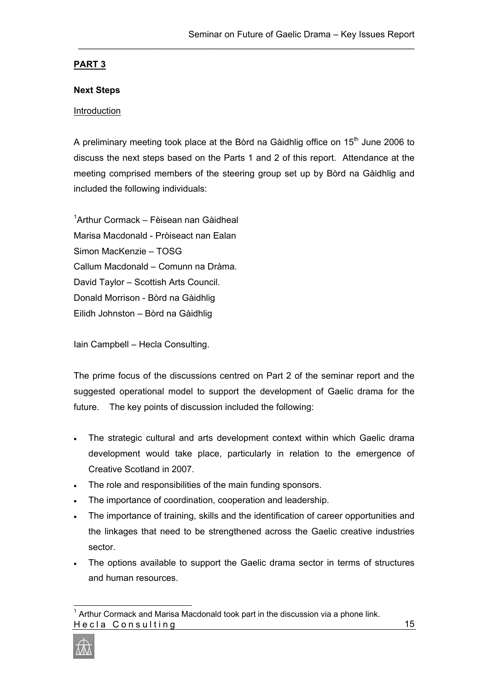## **PART 3**

## **Next Steps**

## **Introduction**

A preliminary meeting took place at the Bòrd na Gàidhlig office on  $15<sup>th</sup>$  June 2006 to discuss the next steps based on the Parts 1 and 2 of this report. Attendance at the meeting comprised members of the steering group set up by Bòrd na Gàidhlig and included the following individuals:

\_\_\_\_\_\_\_\_\_\_\_\_\_\_\_\_\_\_\_\_\_\_\_\_\_\_\_\_\_\_\_\_\_\_\_\_\_\_\_\_\_\_\_\_\_\_\_\_\_\_\_\_\_\_\_\_\_\_\_\_\_\_\_\_\_\_\_

[1](#page-16-0) Arthur Cormack – Fèisean nan Gàidheal Marisa Macdonald - Pròiseact nan Ealan Simon MacKenzie – TOSG Callum Macdonald – Comunn na Dràma. David Taylor – Scottish Arts Council. Donald Morrison - Bòrd na Gàidhlig Eilidh Johnston – Bòrd na Gàidhlig

Iain Campbell – Hecla Consulting.

The prime focus of the discussions centred on Part 2 of the seminar report and the suggested operational model to support the development of Gaelic drama for the future. The key points of discussion included the following:

- The strategic cultural and arts development context within which Gaelic drama development would take place, particularly in relation to the emergence of Creative Scotland in 2007.
- The role and responsibilities of the main funding sponsors.
- The importance of coordination, cooperation and leadership.
- The importance of training, skills and the identification of career opportunities and the linkages that need to be strengthened across the Gaelic creative industries sector.
- The options available to support the Gaelic drama sector in terms of structures and human resources.

<span id="page-16-0"></span> Hecla Consulting  $1$  Arthur Cormack and Marisa Macdonald took part in the discussion via a phone link.

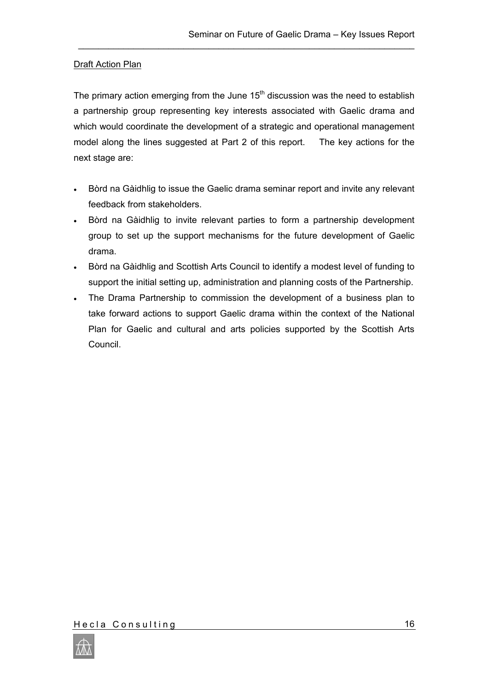## **Draft Action Plan**

The primary action emerging from the June  $15<sup>th</sup>$  discussion was the need to establish a partnership group representing key interests associated with Gaelic drama and which would coordinate the development of a strategic and operational management model along the lines suggested at Part 2 of this report. The key actions for the next stage are:

\_\_\_\_\_\_\_\_\_\_\_\_\_\_\_\_\_\_\_\_\_\_\_\_\_\_\_\_\_\_\_\_\_\_\_\_\_\_\_\_\_\_\_\_\_\_\_\_\_\_\_\_\_\_\_\_\_\_\_\_\_\_\_\_\_\_\_

- Bòrd na Gàidhlig to issue the Gaelic drama seminar report and invite any relevant feedback from stakeholders.
- Bòrd na Gàidhlig to invite relevant parties to form a partnership development group to set up the support mechanisms for the future development of Gaelic drama.
- Bòrd na Gàidhlig and Scottish Arts Council to identify a modest level of funding to support the initial setting up, administration and planning costs of the Partnership.
- The Drama Partnership to commission the development of a business plan to take forward actions to support Gaelic drama within the context of the National Plan for Gaelic and cultural and arts policies supported by the Scottish Arts Council.